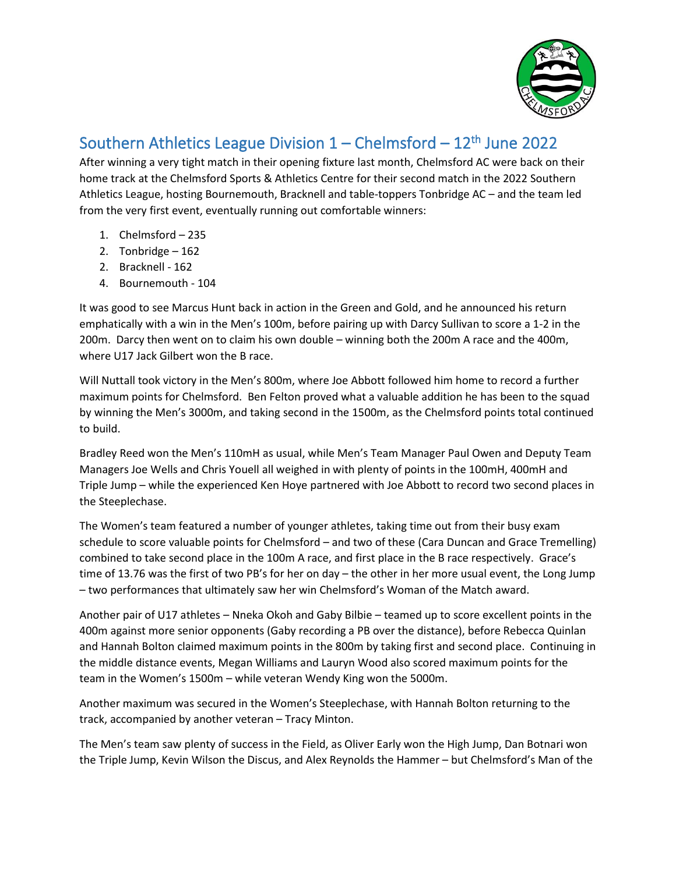

## Southern Athletics League Division  $1$  – Chelmsford –  $12<sup>th</sup>$  June 2022

After winning a very tight match in their opening fixture last month, Chelmsford AC were back on their home track at the Chelmsford Sports & Athletics Centre for their second match in the 2022 Southern Athletics League, hosting Bournemouth, Bracknell and table-toppers Tonbridge AC – and the team led from the very first event, eventually running out comfortable winners:

- 1. Chelmsford 235
- 2. Tonbridge 162
- 2. Bracknell 162
- 4. Bournemouth 104

It was good to see Marcus Hunt back in action in the Green and Gold, and he announced his return emphatically with a win in the Men's 100m, before pairing up with Darcy Sullivan to score a 1-2 in the 200m. Darcy then went on to claim his own double – winning both the 200m A race and the 400m, where U17 Jack Gilbert won the B race.

Will Nuttall took victory in the Men's 800m, where Joe Abbott followed him home to record a further maximum points for Chelmsford. Ben Felton proved what a valuable addition he has been to the squad by winning the Men's 3000m, and taking second in the 1500m, as the Chelmsford points total continued to build.

Bradley Reed won the Men's 110mH as usual, while Men's Team Manager Paul Owen and Deputy Team Managers Joe Wells and Chris Youell all weighed in with plenty of points in the 100mH, 400mH and Triple Jump – while the experienced Ken Hoye partnered with Joe Abbott to record two second places in the Steeplechase.

The Women's team featured a number of younger athletes, taking time out from their busy exam schedule to score valuable points for Chelmsford – and two of these (Cara Duncan and Grace Tremelling) combined to take second place in the 100m A race, and first place in the B race respectively. Grace's time of 13.76 was the first of two PB's for her on day – the other in her more usual event, the Long Jump – two performances that ultimately saw her win Chelmsford's Woman of the Match award.

Another pair of U17 athletes – Nneka Okoh and Gaby Bilbie – teamed up to score excellent points in the 400m against more senior opponents (Gaby recording a PB over the distance), before Rebecca Quinlan and Hannah Bolton claimed maximum points in the 800m by taking first and second place. Continuing in the middle distance events, Megan Williams and Lauryn Wood also scored maximum points for the team in the Women's 1500m – while veteran Wendy King won the 5000m.

Another maximum was secured in the Women's Steeplechase, with Hannah Bolton returning to the track, accompanied by another veteran – Tracy Minton.

The Men's team saw plenty of success in the Field, as Oliver Early won the High Jump, Dan Botnari won the Triple Jump, Kevin Wilson the Discus, and Alex Reynolds the Hammer – but Chelmsford's Man of the